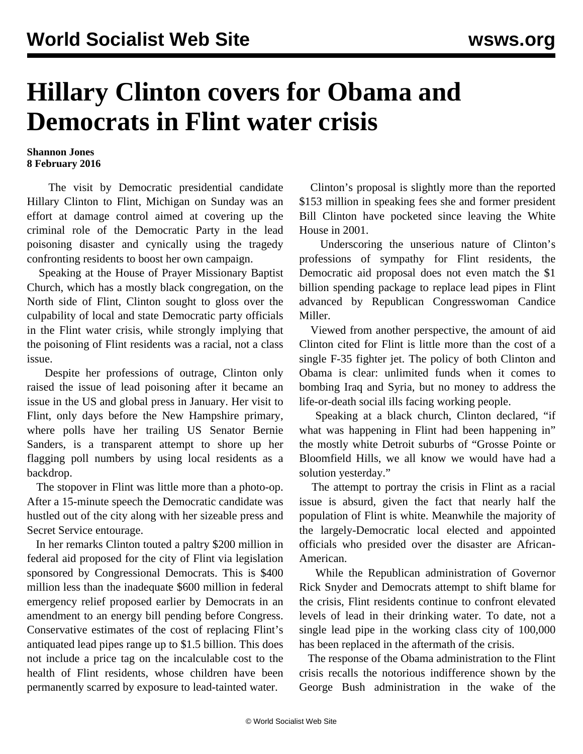## **Hillary Clinton covers for Obama and Democrats in Flint water crisis**

## **Shannon Jones 8 February 2016**

 The visit by Democratic presidential candidate Hillary Clinton to Flint, Michigan on Sunday was an effort at damage control aimed at covering up the criminal role of the Democratic Party in the lead poisoning disaster and cynically using the tragedy confronting residents to boost her own campaign.

 Speaking at the House of Prayer Missionary Baptist Church, which has a mostly black congregation, on the North side of Flint, Clinton sought to gloss over the culpability of local and state Democratic party officials in the Flint water crisis, while strongly implying that the poisoning of Flint residents was a racial, not a class issue.

 Despite her professions of outrage, Clinton only raised the issue of lead poisoning after it became an issue in the US and global press in January. Her visit to Flint, only days before the New Hampshire primary, where polls have her trailing US Senator Bernie Sanders, is a transparent attempt to shore up her flagging poll numbers by using local residents as a backdrop.

 The stopover in Flint was little more than a photo-op. After a 15-minute speech the Democratic candidate was hustled out of the city along with her sizeable press and Secret Service entourage.

 In her remarks Clinton touted a paltry \$200 million in federal aid proposed for the city of Flint via legislation sponsored by Congressional Democrats. This is \$400 million less than the inadequate \$600 million in federal emergency relief proposed earlier by Democrats in an amendment to an energy bill pending before Congress. Conservative estimates of the cost of replacing Flint's antiquated lead pipes range up to \$1.5 billion. This does not include a price tag on the incalculable cost to the health of Flint residents, whose children have been permanently scarred by exposure to lead-tainted water.

 Clinton's proposal is slightly more than the reported \$153 million in speaking fees she and former president Bill Clinton have pocketed since leaving the White House in 2001.

 Underscoring the unserious nature of Clinton's professions of sympathy for Flint residents, the Democratic aid proposal does not even match the \$1 billion spending package to replace lead pipes in Flint advanced by Republican Congresswoman Candice Miller.

 Viewed from another perspective, the amount of aid Clinton cited for Flint is little more than the cost of a single F-35 fighter jet. The policy of both Clinton and Obama is clear: unlimited funds when it comes to bombing Iraq and Syria, but no money to address the life-or-death social ills facing working people.

 Speaking at a black church, Clinton declared, "if what was happening in Flint had been happening in" the mostly white Detroit suburbs of "Grosse Pointe or Bloomfield Hills, we all know we would have had a solution yesterday."

 The attempt to portray the crisis in Flint as a racial issue is absurd, given the fact that nearly half the population of Flint is white. Meanwhile the majority of the largely-Democratic local elected and appointed officials who presided over the disaster are African-American.

 While the Republican administration of Governor Rick Snyder and Democrats attempt to shift blame for the crisis, Flint residents continue to confront elevated levels of lead in their drinking water. To date, not a single lead pipe in the working class city of 100,000 has been replaced in the aftermath of the crisis.

 The response of the Obama administration to the Flint crisis recalls the notorious indifference shown by the George Bush administration in the wake of the